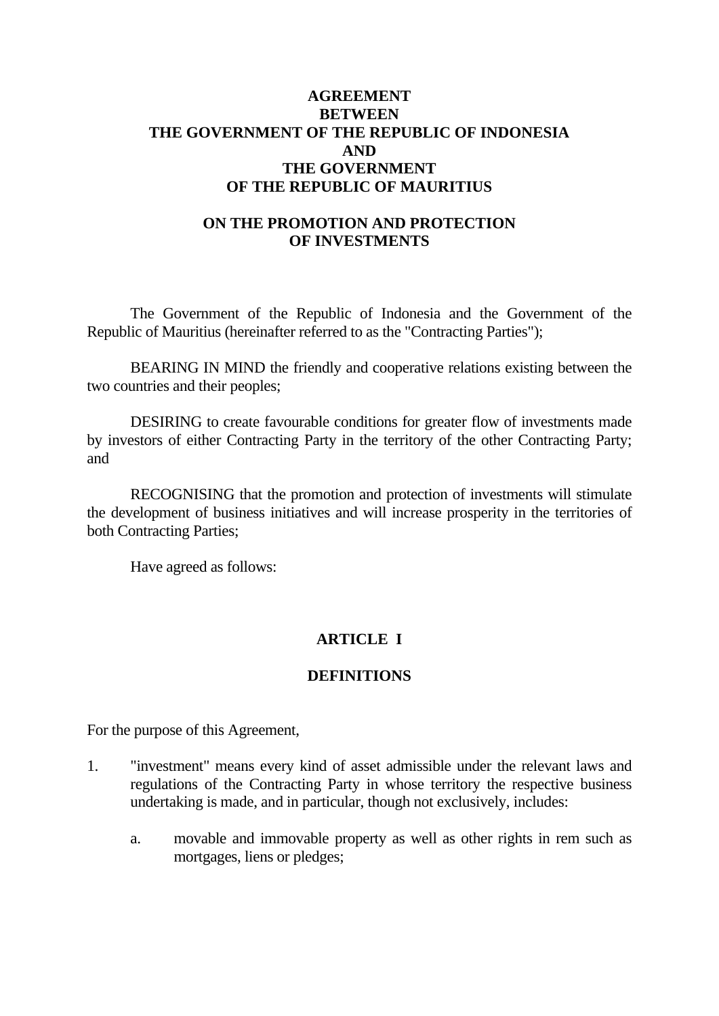## **AGREEMENT BETWEEN THE GOVERNMENT OF THE REPUBLIC OF INDONESIA AND THE GOVERNMENT OF THE REPUBLIC OF MAURITIUS**

## **ON THE PROMOTION AND PROTECTION OF INVESTMENTS**

 The Government of the Republic of Indonesia and the Government of the Republic of Mauritius (hereinafter referred to as the "Contracting Parties");

 BEARING IN MIND the friendly and cooperative relations existing between the two countries and their peoples;

 DESIRING to create favourable conditions for greater flow of investments made by investors of either Contracting Party in the territory of the other Contracting Party; and

 RECOGNISING that the promotion and protection of investments will stimulate the development of business initiatives and will increase prosperity in the territories of both Contracting Parties;

Have agreed as follows:

## **ARTICLE I**

## **DEFINITIONS**

For the purpose of this Agreement,

- 1. "investment" means every kind of asset admissible under the relevant laws and regulations of the Contracting Party in whose territory the respective business undertaking is made, and in particular, though not exclusively, includes:
	- a. movable and immovable property as well as other rights in rem such as mortgages, liens or pledges;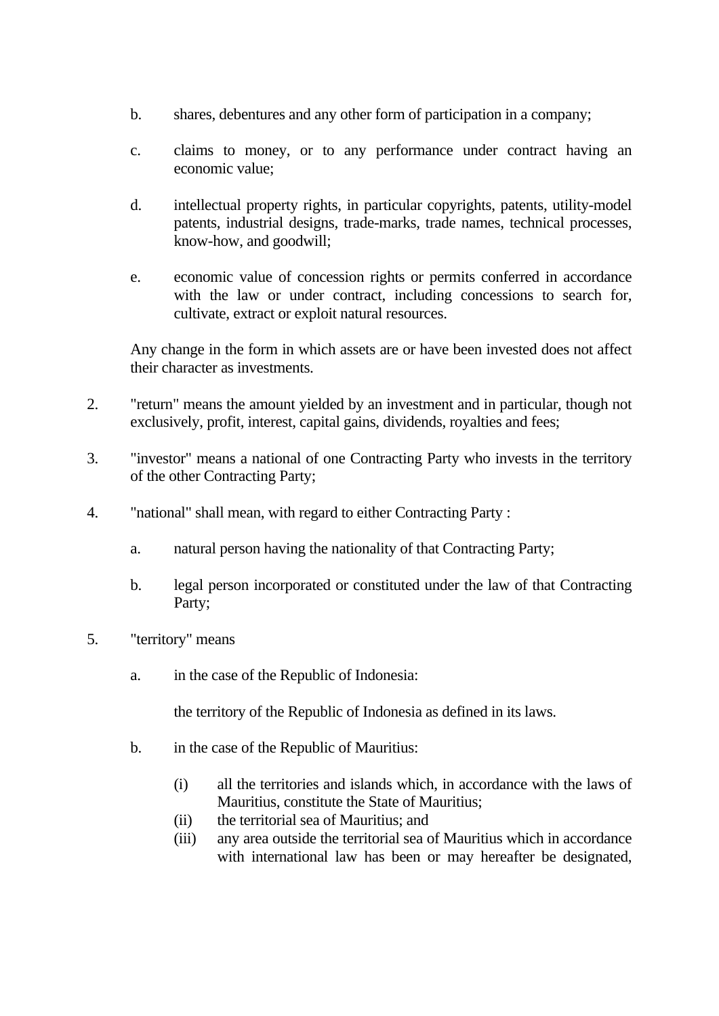- b. shares, debentures and any other form of participation in a company;
- c. claims to money, or to any performance under contract having an economic value;
- d. intellectual property rights, in particular copyrights, patents, utility-model patents, industrial designs, trade-marks, trade names, technical processes, know-how, and goodwill;
- e. economic value of concession rights or permits conferred in accordance with the law or under contract, including concessions to search for, cultivate, extract or exploit natural resources.

 Any change in the form in which assets are or have been invested does not affect their character as investments.

- 2. "return" means the amount yielded by an investment and in particular, though not exclusively, profit, interest, capital gains, dividends, royalties and fees;
- 3. "investor" means a national of one Contracting Party who invests in the territory of the other Contracting Party;
- 4. "national" shall mean, with regard to either Contracting Party :
	- a. natural person having the nationality of that Contracting Party;
	- b. legal person incorporated or constituted under the law of that Contracting Party;
- 5. "territory" means
	- a. in the case of the Republic of Indonesia:

the territory of the Republic of Indonesia as defined in its laws.

- b. in the case of the Republic of Mauritius:
	- (i) all the territories and islands which, in accordance with the laws of Mauritius, constitute the State of Mauritius;
	- (ii) the territorial sea of Mauritius; and
	- (iii) any area outside the territorial sea of Mauritius which in accordance with international law has been or may hereafter be designated,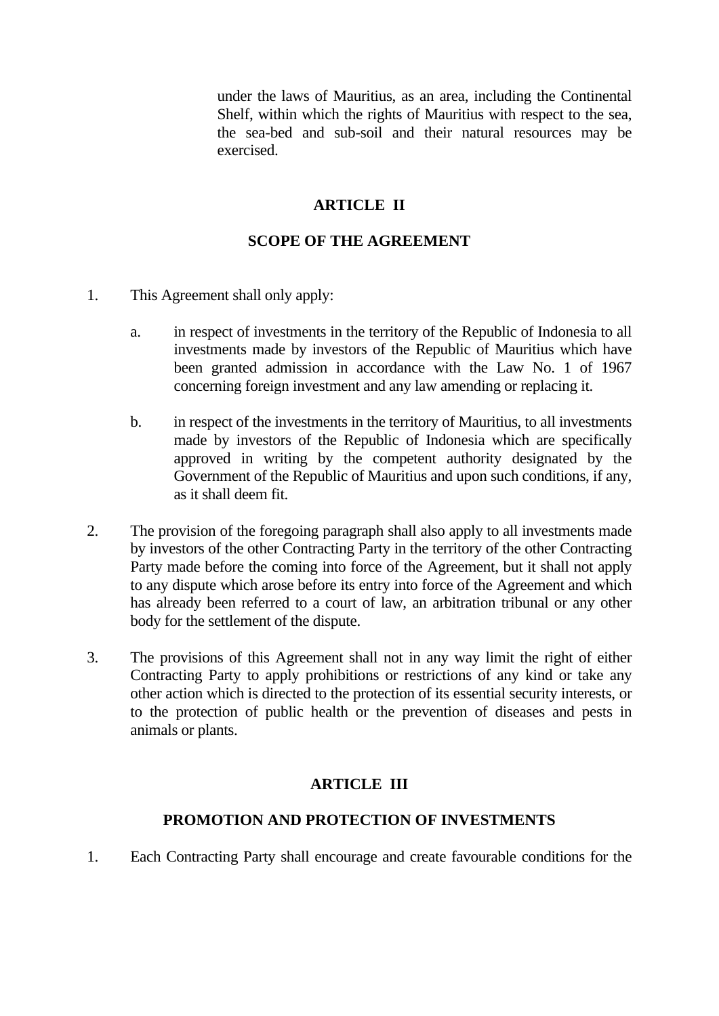under the laws of Mauritius, as an area, including the Continental Shelf, within which the rights of Mauritius with respect to the sea, the sea-bed and sub-soil and their natural resources may be exercised.

# **ARTICLE II**

# **SCOPE OF THE AGREEMENT**

- 1. This Agreement shall only apply:
	- a. in respect of investments in the territory of the Republic of Indonesia to all investments made by investors of the Republic of Mauritius which have been granted admission in accordance with the Law No. 1 of 1967 concerning foreign investment and any law amending or replacing it.
	- b. in respect of the investments in the territory of Mauritius, to all investments made by investors of the Republic of Indonesia which are specifically approved in writing by the competent authority designated by the Government of the Republic of Mauritius and upon such conditions, if any, as it shall deem fit.
- 2. The provision of the foregoing paragraph shall also apply to all investments made by investors of the other Contracting Party in the territory of the other Contracting Party made before the coming into force of the Agreement, but it shall not apply to any dispute which arose before its entry into force of the Agreement and which has already been referred to a court of law, an arbitration tribunal or any other body for the settlement of the dispute.
- 3. The provisions of this Agreement shall not in any way limit the right of either Contracting Party to apply prohibitions or restrictions of any kind or take any other action which is directed to the protection of its essential security interests, or to the protection of public health or the prevention of diseases and pests in animals or plants.

# **ARTICLE III**

## **PROMOTION AND PROTECTION OF INVESTMENTS**

1. Each Contracting Party shall encourage and create favourable conditions for the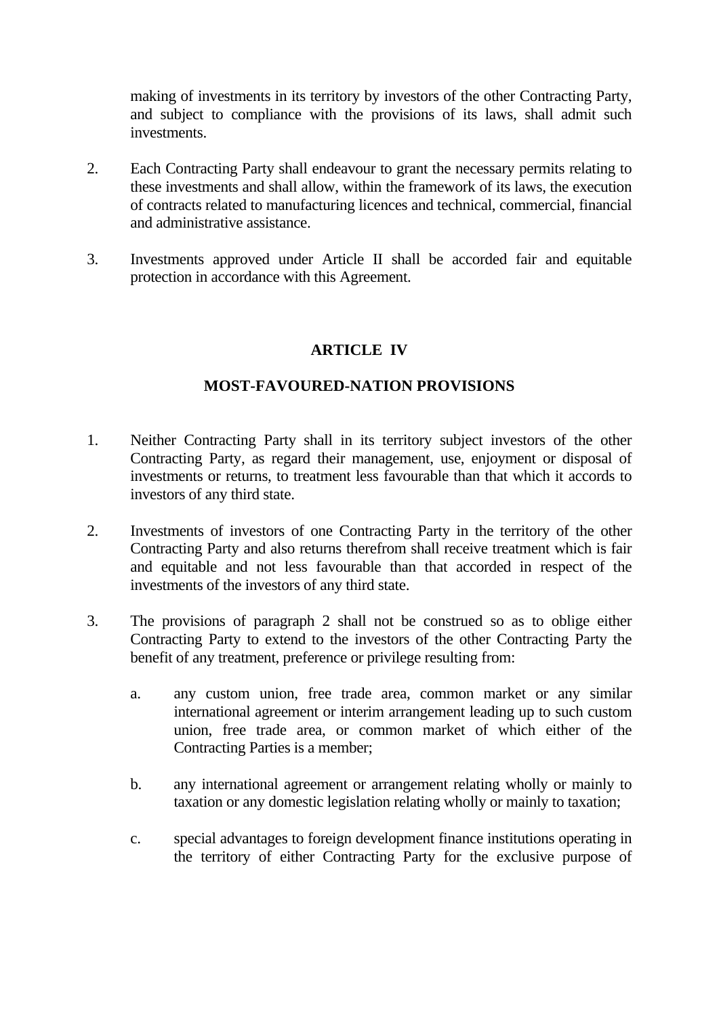making of investments in its territory by investors of the other Contracting Party, and subject to compliance with the provisions of its laws, shall admit such investments.

- 2. Each Contracting Party shall endeavour to grant the necessary permits relating to these investments and shall allow, within the framework of its laws, the execution of contracts related to manufacturing licences and technical, commercial, financial and administrative assistance.
- 3. Investments approved under Article II shall be accorded fair and equitable protection in accordance with this Agreement.

## **ARTICLE IV**

## **MOST-FAVOURED-NATION PROVISIONS**

- 1. Neither Contracting Party shall in its territory subject investors of the other Contracting Party, as regard their management, use, enjoyment or disposal of investments or returns, to treatment less favourable than that which it accords to investors of any third state.
- 2. Investments of investors of one Contracting Party in the territory of the other Contracting Party and also returns therefrom shall receive treatment which is fair and equitable and not less favourable than that accorded in respect of the investments of the investors of any third state.
- 3. The provisions of paragraph 2 shall not be construed so as to oblige either Contracting Party to extend to the investors of the other Contracting Party the benefit of any treatment, preference or privilege resulting from:
	- a. any custom union, free trade area, common market or any similar international agreement or interim arrangement leading up to such custom union, free trade area, or common market of which either of the Contracting Parties is a member;
	- b. any international agreement or arrangement relating wholly or mainly to taxation or any domestic legislation relating wholly or mainly to taxation;
	- c. special advantages to foreign development finance institutions operating in the territory of either Contracting Party for the exclusive purpose of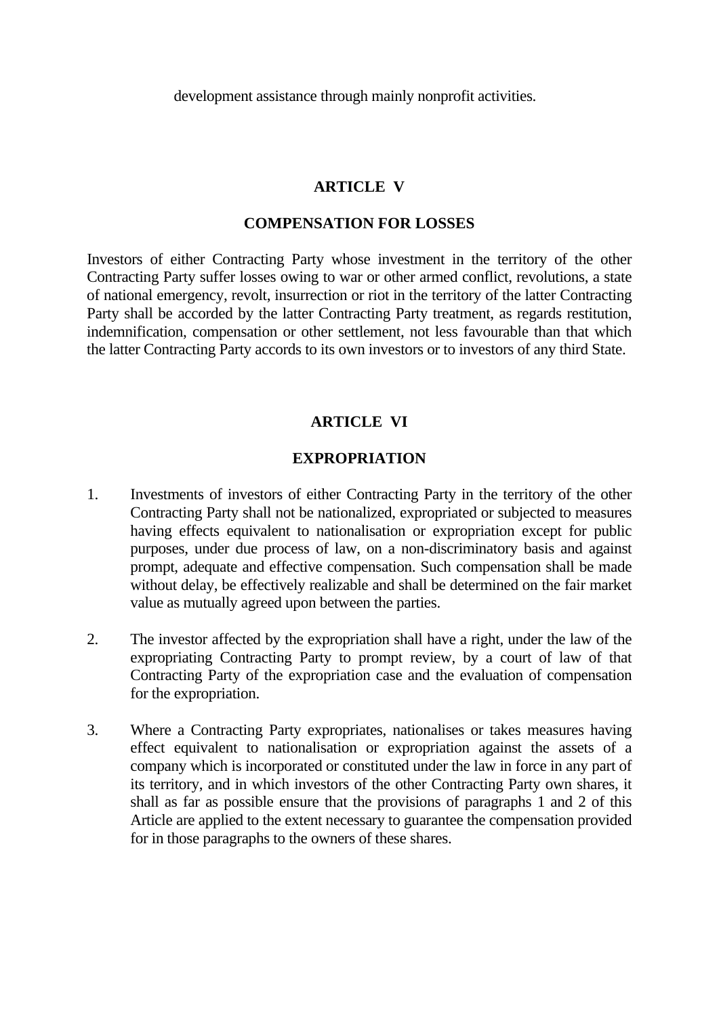development assistance through mainly nonprofit activities.

### **ARTICLE V**

#### **COMPENSATION FOR LOSSES**

Investors of either Contracting Party whose investment in the territory of the other Contracting Party suffer losses owing to war or other armed conflict, revolutions, a state of national emergency, revolt, insurrection or riot in the territory of the latter Contracting Party shall be accorded by the latter Contracting Party treatment, as regards restitution, indemnification, compensation or other settlement, not less favourable than that which the latter Contracting Party accords to its own investors or to investors of any third State.

### **ARTICLE VI**

#### **EXPROPRIATION**

- 1. Investments of investors of either Contracting Party in the territory of the other Contracting Party shall not be nationalized, expropriated or subjected to measures having effects equivalent to nationalisation or expropriation except for public purposes, under due process of law, on a non-discriminatory basis and against prompt, adequate and effective compensation. Such compensation shall be made without delay, be effectively realizable and shall be determined on the fair market value as mutually agreed upon between the parties.
- 2. The investor affected by the expropriation shall have a right, under the law of the expropriating Contracting Party to prompt review, by a court of law of that Contracting Party of the expropriation case and the evaluation of compensation for the expropriation.
- 3. Where a Contracting Party expropriates, nationalises or takes measures having effect equivalent to nationalisation or expropriation against the assets of a company which is incorporated or constituted under the law in force in any part of its territory, and in which investors of the other Contracting Party own shares, it shall as far as possible ensure that the provisions of paragraphs 1 and 2 of this Article are applied to the extent necessary to guarantee the compensation provided for in those paragraphs to the owners of these shares.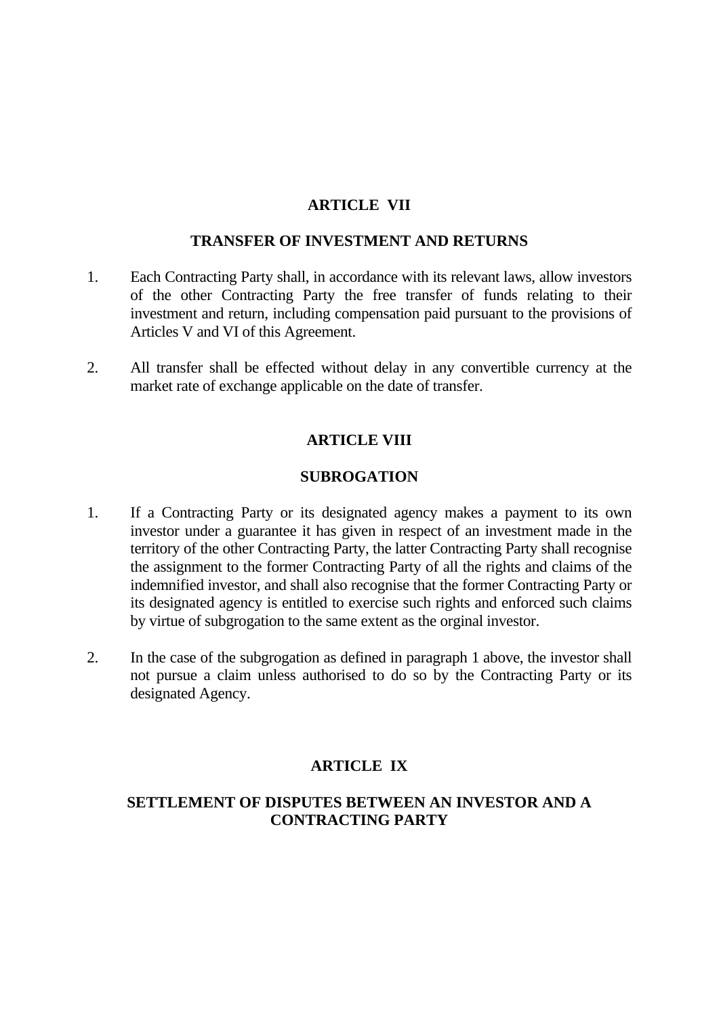## **ARTICLE VII**

#### **TRANSFER OF INVESTMENT AND RETURNS**

- 1. Each Contracting Party shall, in accordance with its relevant laws, allow investors of the other Contracting Party the free transfer of funds relating to their investment and return, including compensation paid pursuant to the provisions of Articles V and VI of this Agreement.
- 2. All transfer shall be effected without delay in any convertible currency at the market rate of exchange applicable on the date of transfer.

### **ARTICLE VIII**

### **SUBROGATION**

- 1. If a Contracting Party or its designated agency makes a payment to its own investor under a guarantee it has given in respect of an investment made in the territory of the other Contracting Party, the latter Contracting Party shall recognise the assignment to the former Contracting Party of all the rights and claims of the indemnified investor, and shall also recognise that the former Contracting Party or its designated agency is entitled to exercise such rights and enforced such claims by virtue of subgrogation to the same extent as the orginal investor.
- 2. In the case of the subgrogation as defined in paragraph 1 above, the investor shall not pursue a claim unless authorised to do so by the Contracting Party or its designated Agency.

## **ARTICLE IX**

## **SETTLEMENT OF DISPUTES BETWEEN AN INVESTOR AND A CONTRACTING PARTY**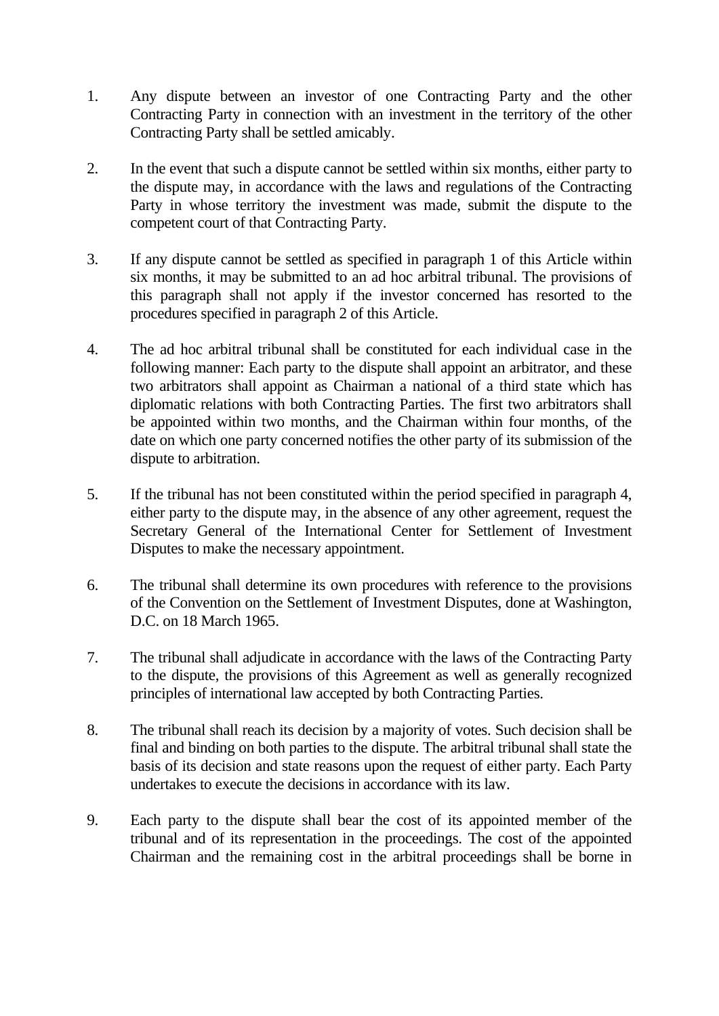- 1. Any dispute between an investor of one Contracting Party and the other Contracting Party in connection with an investment in the territory of the other Contracting Party shall be settled amicably.
- 2. In the event that such a dispute cannot be settled within six months, either party to the dispute may, in accordance with the laws and regulations of the Contracting Party in whose territory the investment was made, submit the dispute to the competent court of that Contracting Party.
- 3. If any dispute cannot be settled as specified in paragraph 1 of this Article within six months, it may be submitted to an ad hoc arbitral tribunal. The provisions of this paragraph shall not apply if the investor concerned has resorted to the procedures specified in paragraph 2 of this Article.
- 4. The ad hoc arbitral tribunal shall be constituted for each individual case in the following manner: Each party to the dispute shall appoint an arbitrator, and these two arbitrators shall appoint as Chairman a national of a third state which has diplomatic relations with both Contracting Parties. The first two arbitrators shall be appointed within two months, and the Chairman within four months, of the date on which one party concerned notifies the other party of its submission of the dispute to arbitration.
- 5. If the tribunal has not been constituted within the period specified in paragraph 4, either party to the dispute may, in the absence of any other agreement, request the Secretary General of the International Center for Settlement of Investment Disputes to make the necessary appointment.
- 6. The tribunal shall determine its own procedures with reference to the provisions of the Convention on the Settlement of Investment Disputes, done at Washington, D.C. on 18 March 1965.
- 7. The tribunal shall adjudicate in accordance with the laws of the Contracting Party to the dispute, the provisions of this Agreement as well as generally recognized principles of international law accepted by both Contracting Parties.
- 8. The tribunal shall reach its decision by a majority of votes. Such decision shall be final and binding on both parties to the dispute. The arbitral tribunal shall state the basis of its decision and state reasons upon the request of either party. Each Party undertakes to execute the decisions in accordance with its law.
- 9. Each party to the dispute shall bear the cost of its appointed member of the tribunal and of its representation in the proceedings. The cost of the appointed Chairman and the remaining cost in the arbitral proceedings shall be borne in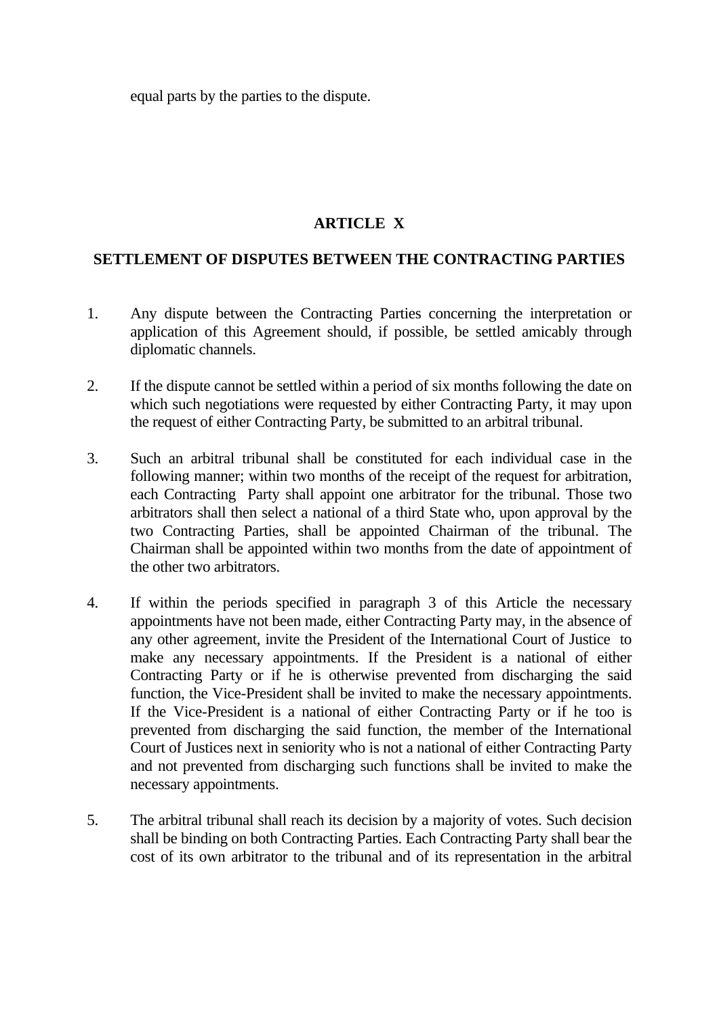equal parts by the parties to the dispute.

# **ARTICLE X**

## **SETTLEMENT OF DISPUTES BETWEEN THE CONTRACTING PARTIES**

- 1. Any dispute between the Contracting Parties concerning the interpretation or application of this Agreement should, if possible, be settled amicably through diplomatic channels.
- 2. If the dispute cannot be settled within a period of six months following the date on which such negotiations were requested by either Contracting Party, it may upon the request of either Contracting Party, be submitted to an arbitral tribunal.
- 3. Such an arbitral tribunal shall be constituted for each individual case in the following manner; within two months of the receipt of the request for arbitration, each Contracting Party shall appoint one arbitrator for the tribunal. Those two arbitrators shall then select a national of a third State who, upon approval by the two Contracting Parties, shall be appointed Chairman of the tribunal. The Chairman shall be appointed within two months from the date of appointment of the other two arbitrators.
- 4. If within the periods specified in paragraph 3 of this Article the necessary appointments have not been made, either Contracting Party may, in the absence of any other agreement, invite the President of the International Court of Justice to make any necessary appointments. If the President is a national of either Contracting Party or if he is otherwise prevented from discharging the said function, the Vice-President shall be invited to make the necessary appointments. If the Vice-President is a national of either Contracting Party or if he too is prevented from discharging the said function, the member of the International Court of Justices next in seniority who is not a national of either Contracting Party and not prevented from discharging such functions shall be invited to make the necessary appointments.
- 5. The arbitral tribunal shall reach its decision by a majority of votes. Such decision shall be binding on both Contracting Parties. Each Contracting Party shall bear the cost of its own arbitrator to the tribunal and of its representation in the arbitral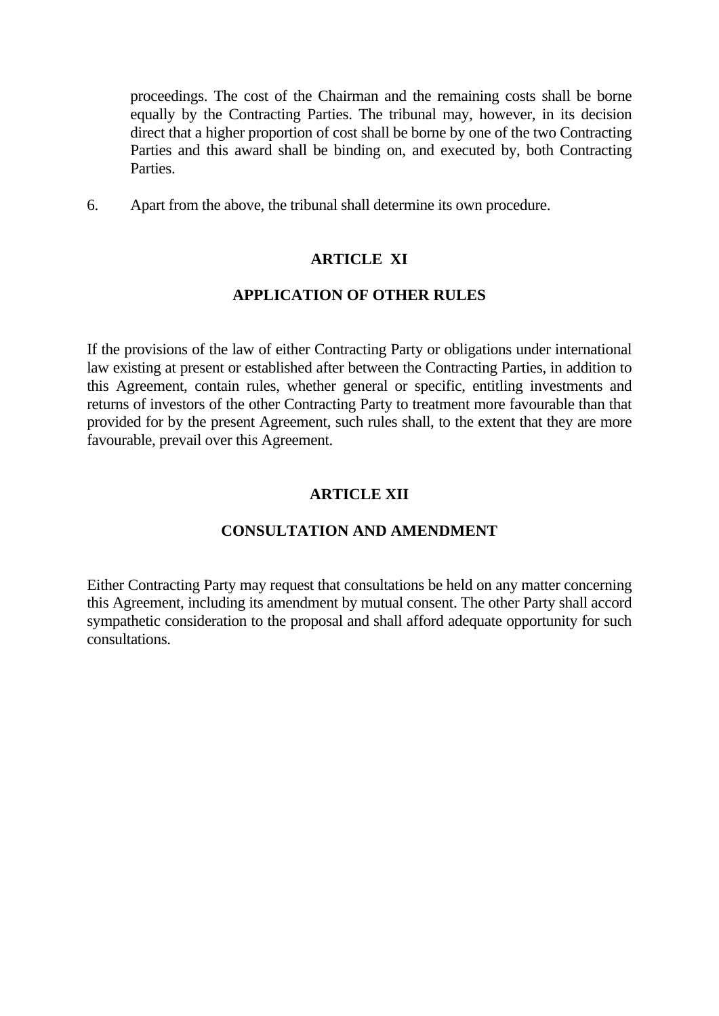proceedings. The cost of the Chairman and the remaining costs shall be borne equally by the Contracting Parties. The tribunal may, however, in its decision direct that a higher proportion of cost shall be borne by one of the two Contracting Parties and this award shall be binding on, and executed by, both Contracting Parties.

6. Apart from the above, the tribunal shall determine its own procedure.

# **ARTICLE XI**

### **APPLICATION OF OTHER RULES**

If the provisions of the law of either Contracting Party or obligations under international law existing at present or established after between the Contracting Parties, in addition to this Agreement, contain rules, whether general or specific, entitling investments and returns of investors of the other Contracting Party to treatment more favourable than that provided for by the present Agreement, such rules shall, to the extent that they are more favourable, prevail over this Agreement.

# **ARTICLE XII**

## **CONSULTATION AND AMENDMENT**

Either Contracting Party may request that consultations be held on any matter concerning this Agreement, including its amendment by mutual consent. The other Party shall accord sympathetic consideration to the proposal and shall afford adequate opportunity for such consultations.